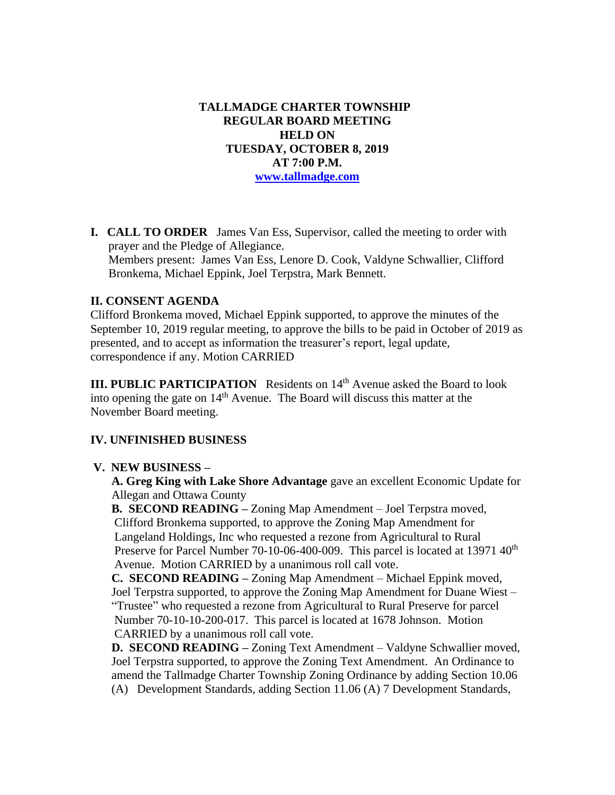**TALLMADGE CHARTER TOWNSHIP REGULAR BOARD MEETING HELD ON TUESDAY, OCTOBER 8, 2019 AT 7:00 P.M. [www.tallmadge.com](http://www.tallmadge.com/)**

**I. CALL TO ORDER** James Van Ess, Supervisor, called the meeting to order with prayer and the Pledge of Allegiance. Members present: James Van Ess, Lenore D. Cook, Valdyne Schwallier, Clifford Bronkema, Michael Eppink, Joel Terpstra, Mark Bennett.

## **II. CONSENT AGENDA**

Clifford Bronkema moved, Michael Eppink supported, to approve the minutes of the September 10, 2019 regular meeting, to approve the bills to be paid in October of 2019 as presented, and to accept as information the treasurer's report, legal update, correspondence if any. Motion CARRIED

**III. PUBLIC PARTICIPATION** Residents on 14<sup>th</sup> Avenue asked the Board to look into opening the gate on  $14<sup>th</sup>$  Avenue. The Board will discuss this matter at the November Board meeting.

## **IV. UNFINISHED BUSINESS**

## **V. NEW BUSINESS –**

 **A. Greg King with Lake Shore Advantage** gave an excellent Economic Update for Allegan and Ottawa County

 **B. SECOND READING –** Zoning Map Amendment – Joel Terpstra moved, Clifford Bronkema supported, to approve the Zoning Map Amendment for Langeland Holdings, Inc who requested a rezone from Agricultural to Rural Preserve for Parcel Number 70-10-06-400-009. This parcel is located at 13971 40<sup>th</sup> Avenue. Motion CARRIED by a unanimous roll call vote.

 **C. SECOND READING –** Zoning Map Amendment – Michael Eppink moved, Joel Terpstra supported, to approve the Zoning Map Amendment for Duane Wiest – "Trustee" who requested a rezone from Agricultural to Rural Preserve for parcel Number 70-10-10-200-017. This parcel is located at 1678 Johnson. Motion CARRIED by a unanimous roll call vote.

 **D. SECOND READING –** Zoning Text Amendment – Valdyne Schwallier moved, Joel Terpstra supported, to approve the Zoning Text Amendment. An Ordinance to amend the Tallmadge Charter Township Zoning Ordinance by adding Section 10.06 (A) Development Standards, adding Section 11.06 (A) 7 Development Standards,